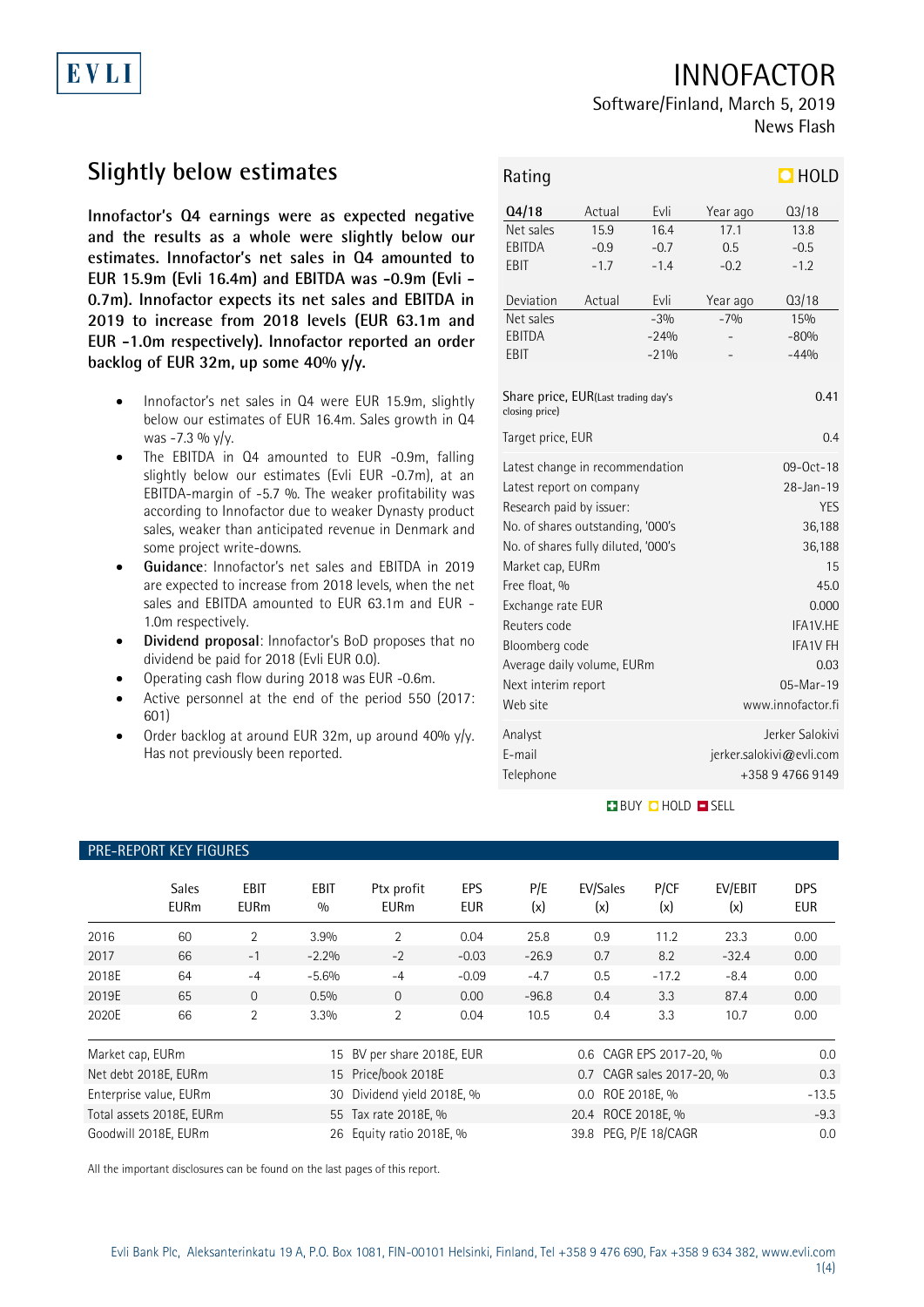## INNOFACTOR

# Software/Finland, March 5, 2019

News Flash

# **Slightly below estimates**

**Innofactor's Q4 earnings were as expected negative and the results as a whole were slightly below our estimates. Innofactor's net sales in Q4 amounted to EUR 15.9m (Evli 16.4m) and EBITDA was -0.9m (Evli - 0.7m). Innofactor expects its net sales and EBITDA in 2019 to increase from 2018 levels (EUR 63.1m and EUR -1.0m respectively). Innofactor reported an order backlog of EUR 32m, up some 40% y/y.**

- Innofactor's net sales in Q4 were EUR 15.9m, slightly below our estimates of EUR 16.4m. Sales growth in Q4 was -7.3 %  $y/y$ .
- The EBITDA in Q4 amounted to EUR -0.9m, falling slightly below our estimates (Evli EUR -0.7m), at an EBITDA-margin of -5.7 %. The weaker profitability was according to Innofactor due to weaker Dynasty product sales, weaker than anticipated revenue in Denmark and some project write-downs.
- **Guidance**: Innofactor's net sales and EBITDA in 2019 are expected to increase from 2018 levels, when the net sales and EBITDA amounted to EUR 63.1m and EUR - 1.0m respectively.
- **Dividend proposal**: Innofactor's BoD proposes that no dividend be paid for 2018 (Evli EUR 0.0).
- Operating cash flow during 2018 was EUR -0.6m.
- Active personnel at the end of the period 550 (2017: 601)
- Order backlog at around EUR 32m, up around 40% y/y. Has not previously been reported.

| Rating                                                                                                                                                                                                                                                                                                                           |                          |                                   |                                                                                                                                                                        | $\Box$ HOLD                      |  |
|----------------------------------------------------------------------------------------------------------------------------------------------------------------------------------------------------------------------------------------------------------------------------------------------------------------------------------|--------------------------|-----------------------------------|------------------------------------------------------------------------------------------------------------------------------------------------------------------------|----------------------------------|--|
| Q4/18                                                                                                                                                                                                                                                                                                                            | Actual                   | Evli                              | Year ago                                                                                                                                                               | Q3/18                            |  |
| Net sales<br>EBITDA<br>EBIT                                                                                                                                                                                                                                                                                                      | 15.9<br>$-0.9$<br>$-1.7$ | 16.4<br>$-0.7$<br>$-1.4$          | 17.1<br>0.5<br>$-0.2$                                                                                                                                                  | 13.8<br>$-0.5$<br>$-1.2$         |  |
| Deviation<br>Net sales<br>EBITDA<br>EBIT                                                                                                                                                                                                                                                                                         | Actual                   | Evli<br>$-3%$<br>$-24%$<br>$-21%$ | Year ago<br>$-7%$                                                                                                                                                      | Q3/18<br>15%<br>$-80%$<br>$-44%$ |  |
| Share price, EUR(Last trading day's<br>closing price)                                                                                                                                                                                                                                                                            |                          | 0.41                              |                                                                                                                                                                        |                                  |  |
| Target price, EUR                                                                                                                                                                                                                                                                                                                |                          |                                   | 0.4                                                                                                                                                                    |                                  |  |
| Latest change in recommendation<br>Latest report on company<br>Research paid by issuer:<br>No. of shares outstanding, '000's<br>No. of shares fully diluted, '000's<br>Market cap, EURm<br>Free float, %<br>Exchange rate EUR<br>Reuters code<br>Bloomberg code<br>Average daily volume, EURm<br>Next interim report<br>Web site |                          |                                   | $09 - 0ct - 18$<br>28-Jan-19<br><b>YES</b><br>36,188<br>36,188<br>15<br>45.0<br>0.000<br>IFA1V.HE<br><b>IFA1V FH</b><br>0.03<br>$05 - $ Mar $-19$<br>www.innofactor.fi |                                  |  |
| Analyst<br>E-mail<br>Telephone                                                                                                                                                                                                                                                                                                   |                          |                                   | Jerker Salokivi<br>jerker.salokivi@evli.com<br>+358 9 4766 9149                                                                                                        |                                  |  |

### **BUY O HOLD O SELL**

## PRE-REPORT KEY FIGURES

|                  | <b>Sales</b><br><b>EURm</b> | EBIT<br><b>EURm</b> | EBIT<br>0/0 | Ptx profit<br><b>EURm</b>  | EPS<br><b>EUR</b> | P/E<br>(x) | EV/Sales<br>(x)           | P/CF<br>(x) | EV/EBIT<br>(x) | <b>DPS</b><br><b>EUR</b> |
|------------------|-----------------------------|---------------------|-------------|----------------------------|-------------------|------------|---------------------------|-------------|----------------|--------------------------|
| 2016             | 60                          | 2                   | 3.9%        | $\overline{2}$             | 0.04              | 25.8       | 0.9                       | 11.2        | 23.3           | 0.00                     |
| 2017             | 66                          | $-1$                | $-2.2%$     | $-2$                       | $-0.03$           | $-26.9$    | 0.7                       | 8.2         | $-32.4$        | 0.00                     |
| 2018E            | 64                          | $-4$                | $-5.6%$     | $-4$                       | $-0.09$           | $-4.7$     | 0.5                       | $-17.2$     | $-8.4$         | 0.00                     |
| 2019E            | 65                          | $\Omega$            | 0.5%        | $\Omega$                   | 0.00              | $-96.8$    | 0.4                       | 3.3         | 87.4           | 0.00                     |
| 2020E            | 66                          | 2                   | 3.3%        | 2                          | 0.04              | 10.5       | 0.4                       | 3.3         | 10.7           | 0.00                     |
| Market cap, EURm |                             |                     |             | 15 BV per share 2018E, EUR |                   |            | 0.6 CAGR EPS 2017-20, %   |             |                | 0.0                      |
|                  | Net debt 2018E, EURm        |                     |             | 15 Price/book 2018E        |                   |            | 0.7 CAGR sales 2017-20, % |             |                | 0.3                      |
|                  | Enterprise value, EURm      |                     | 30          | Dividend yield 2018E, %    |                   |            | 0.0 ROE 2018E, %          |             |                | $-13.5$                  |
|                  | Total assets 2018E, EURm    |                     |             | 55 Tax rate 2018E, %       |                   |            | 20.4 ROCE 2018E, %        |             |                | $-9.3$                   |
|                  | Goodwill 2018E, EURm        |                     |             | 26 Equity ratio 2018E, %   |                   |            | 39.8 PEG, P/E 18/CAGR     |             |                | 0.0                      |

All the important disclosures can be found on the last pages of this report.

EVLI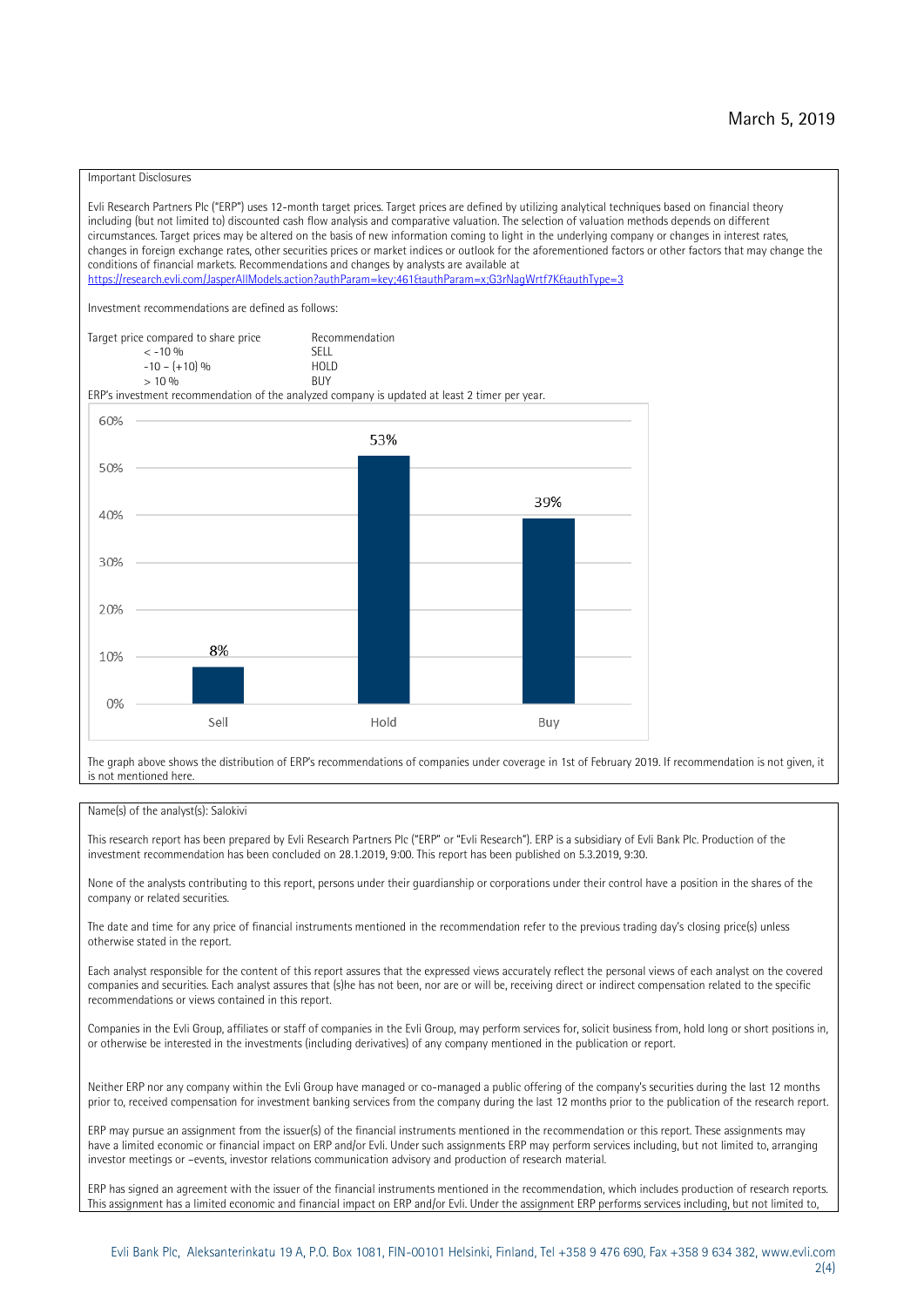#### Important Disclosures

Evli Research Partners Plc ("ERP") uses 12-month target prices. Target prices are defined by utilizing analytical techniques based on financial theory including (but not limited to) discounted cash flow analysis and comparative valuation. The selection of valuation methods depends on different circumstances. Target prices may be altered on the basis of new information coming to light in the underlying company or changes in interest rates, changes in foreign exchange rates, other securities prices or market indices or outlook for the aforementioned factors or other factors that may change the conditions of financial markets. Recommendations and changes by analysts are available at https://research.evli.com/JasperAllModels.action?authParam=key;461&tauthParam=x;G3rNagWrtf7K&tauthType=3 Investment recommendations are defined as follows: Target price compared to share price Recommendation<br>  $\leq$  -10 % < -10 % SELL  $-10 - (+10) \%$  HOL<br>  $> 10 \%$  RIJY  $> 10 \frac{0}{0}$ ERP's investment recommendation of the analyzed company is updated at least 2 timer per year. 60% 53% 50% 39% 40% 30% 20% 8% 10% 0% Sell Hold Buy

The graph above shows the distribution of ERP's recommendations of companies under coverage in 1st of February 2019. If recommendation is not given, it is not mentioned here.

#### Name(s) of the analyst(s): Salokivi

This research report has been prepared by Evli Research Partners Plc ("ERP" or "Evli Research"). ERP is a subsidiary of Evli Bank Plc. Production of the investment recommendation has been concluded on 28.1.2019, 9:00. This report has been published on 5.3.2019, 9:30.

None of the analysts contributing to this report, persons under their guardianship or corporations under their control have a position in the shares of the company or related securities.

The date and time for any price of financial instruments mentioned in the recommendation refer to the previous trading day's closing price(s) unless otherwise stated in the report.

Each analyst responsible for the content of this report assures that the expressed views accurately reflect the personal views of each analyst on the covered companies and securities. Each analyst assures that (s)he has not been, nor are or will be, receiving direct or indirect compensation related to the specific recommendations or views contained in this report.

Companies in the Evli Group, affiliates or staff of companies in the Evli Group, may perform services for, solicit business from, hold long or short positions in, or otherwise be interested in the investments (including derivatives) of any company mentioned in the publication or report.

Neither ERP nor any company within the Evli Group have managed or co-managed a public offering of the company's securities during the last 12 months prior to, received compensation for investment banking services from the company during the last 12 months prior to the publication of the research report.

ERP may pursue an assignment from the issuer(s) of the financial instruments mentioned in the recommendation or this report. These assignments may have a limited economic or financial impact on ERP and/or Evli. Under such assignments ERP may perform services including, but not limited to, arranging investor meetings or –events, investor relations communication advisory and production of research material.

ERP has signed an agreement with the issuer of the financial instruments mentioned in the recommendation, which includes production of research reports. This assignment has a limited economic and financial impact on ERP and/or Evli. Under the assignment ERP performs services including, but not limited to,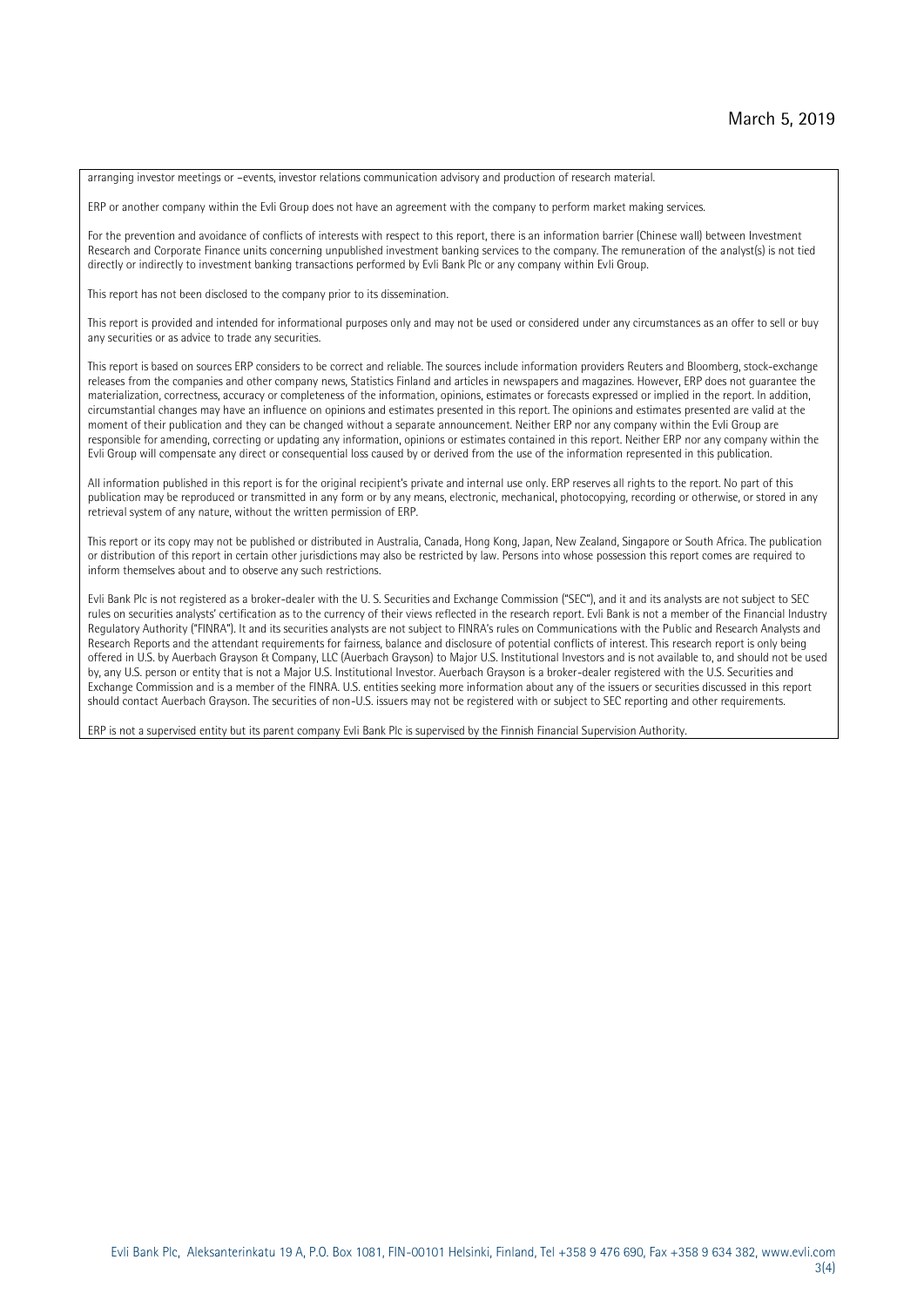arranging investor meetings or –events, investor relations communication advisory and production of research material.

ERP or another company within the Evli Group does not have an agreement with the company to perform market making services.

For the prevention and avoidance of conflicts of interests with respect to this report, there is an information barrier (Chinese wall) between Investment Research and Corporate Finance units concerning unpublished investment banking services to the company. The remuneration of the analyst(s) is not tied directly or indirectly to investment banking transactions performed by Evli Bank Plc or any company within Evli Group.

This report has not been disclosed to the company prior to its dissemination.

This report is provided and intended for informational purposes only and may not be used or considered under any circumstances as an offer to sell or buy any securities or as advice to trade any securities.

This report is based on sources ERP considers to be correct and reliable. The sources include information providers Reuters and Bloomberg, stock-exchange releases from the companies and other company news, Statistics Finland and articles in newspapers and magazines. However, ERP does not guarantee the materialization, correctness, accuracy or completeness of the information, opinions, estimates or forecasts expressed or implied in the report. In addition, circumstantial changes may have an influence on opinions and estimates presented in this report. The opinions and estimates presented are valid at the moment of their publication and they can be changed without a separate announcement. Neither ERP nor any company within the Evli Group are responsible for amending, correcting or updating any information, opinions or estimates contained in this report. Neither ERP nor any company within the Evli Group will compensate any direct or consequential loss caused by or derived from the use of the information represented in this publication.

All information published in this report is for the original recipient's private and internal use only. ERP reserves all rights to the report. No part of this publication may be reproduced or transmitted in any form or by any means, electronic, mechanical, photocopying, recording or otherwise, or stored in any retrieval system of any nature, without the written permission of ERP.

This report or its copy may not be published or distributed in Australia, Canada, Hong Kong, Japan, New Zealand, Singapore or South Africa. The publication or distribution of this report in certain other jurisdictions may also be restricted by law. Persons into whose possession this report comes are required to inform themselves about and to observe any such restrictions.

Evli Bank Plc is not registered as a broker-dealer with the U. S. Securities and Exchange Commission ("SEC"), and it and its analysts are not subject to SEC rules on securities analysts' certification as to the currency of their views reflected in the research report. Evli Bank is not a member of the Financial Industry Regulatory Authority ("FINRA"). It and its securities analysts are not subject to FINRA's rules on Communications with the Public and Research Analysts and Research Reports and the attendant requirements for fairness, balance and disclosure of potential conflicts of interest. This research report is only being offered in U.S. by Auerbach Grayson & Company, LLC (Auerbach Grayson) to Major U.S. Institutional Investors and is not available to, and should not be used by, any U.S. person or entity that is not a Major U.S. Institutional Investor. Auerbach Grayson is a broker-dealer registered with the U.S. Securities and Exchange Commission and is a member of the FINRA. U.S. entities seeking more information about any of the issuers or securities discussed in this report should contact Auerbach Grayson. The securities of non-U.S. issuers may not be registered with or subject to SEC reporting and other requirements.

ERP is not a supervised entity but its parent company Evli Bank Plc is supervised by the Finnish Financial Supervision Authority.